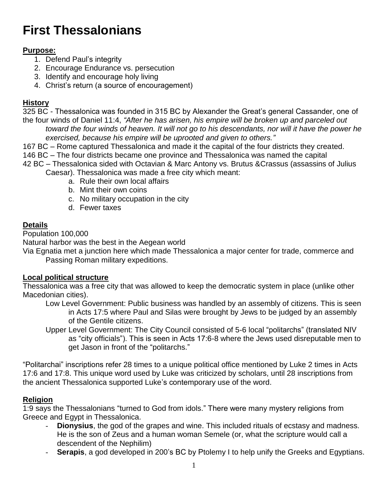# **First Thessalonians**

## **Purpose:**

- 1. Defend Paul's integrity
- 2. Encourage Endurance vs. persecution
- 3. Identify and encourage holy living
- 4. Christ's return (a source of encouragement)

### **History**

325 BC - Thessalonica was founded in 315 BC by Alexander the Great's general Cassander, one of the four winds of Daniel 11:4, *"After he has arisen, his empire will be broken up and parceled out toward the four winds of heaven. It will not go to his descendants, nor will it have the power he exercised, because his empire will be uprooted and given to others."*

167 BC – Rome captured Thessalonica and made it the capital of the four districts they created. 146 BC – The four districts became one province and Thessalonica was named the capital

42 BC – Thessalonica sided with Octavian & Marc Antony vs. Brutus &Crassus (assassins of Julius Caesar). Thessalonica was made a free city which meant:

- a. Rule their own local affairs
	- b. Mint their own coins
	- c. No military occupation in the city
	- d. Fewer taxes

#### **Details**

Population 100,000

Natural harbor was the best in the Aegean world

Via Egnatia met a junction here which made Thessalonica a major center for trade, commerce and Passing Roman military expeditions.

#### **Local political structure**

Thessalonica was a free city that was allowed to keep the democratic system in place (unlike other Macedonian cities).

Low Level Government: Public business was handled by an assembly of citizens. This is seen in Acts 17:5 where Paul and Silas were brought by Jews to be judged by an assembly of the Gentile citizens.

Upper Level Government: The City Council consisted of 5-6 local "politarchs" (translated NIV as "city officials"). This is seen in Acts 17:6-8 where the Jews used disreputable men to get Jason in front of the "politarchs."

"Politarchai" inscriptions refer 28 times to a unique political office mentioned by Luke 2 times in Acts 17:6 and 17:8. This unique word used by Luke was criticized by scholars, until 28 inscriptions from the ancient Thessalonica supported Luke's contemporary use of the word.

#### **Religion**

1:9 says the Thessalonians "turned to God from idols." There were many mystery religions from Greece and Egypt in Thessalonica.

- **Dionysius**, the god of the grapes and wine. This included rituals of ecstasy and madness. He is the son of Zeus and a human woman Semele (or, what the scripture would call a descendent of the Nephilim)
- **Serapis**, a god developed in 200's BC by Ptolemy I to help unify the Greeks and Egyptians.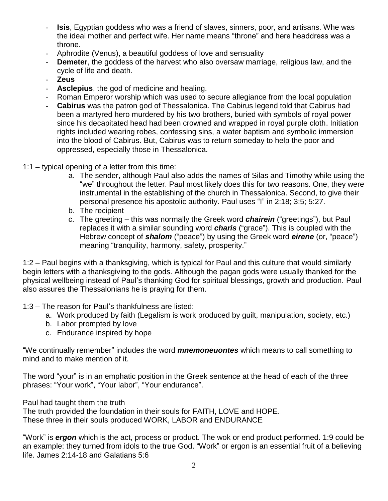- **Isis**, Egyptian goddess who was a friend of slaves, sinners, poor, and artisans. Whe was the ideal mother and perfect wife. Her name means "throne" and here headdress was a throne.
- Aphrodite (Venus), a beautiful goddess of love and sensuality
- **Demeter**, the goddess of the harvest who also oversaw marriage, religious law, and the cycle of life and death.
- **Zeus**
- **Asclepius**, the god of medicine and healing.
- Roman Emperor worship which was used to secure allegiance from the local population
- **Cabirus** was the patron god of Thessalonica. The Cabirus legend told that Cabirus had been a martyred hero murdered by his two brothers, buried with symbols of royal power since his decapitated head had been crowned and wrapped in royal purple cloth. Initiation rights included wearing robes, confessing sins, a water baptism and symbolic immersion into the blood of Cabirus. But, Cabirus was to return someday to help the poor and oppressed, especially those in Thessalonica.
- 1:1 typical opening of a letter from this time:
	- a. The sender, although Paul also adds the names of Silas and Timothy while using the "we" throughout the letter. Paul most likely does this for two reasons. One, they were instrumental in the establishing of the church in Thessalonica. Second, to give their personal presence his apostolic authority. Paul uses "I" in 2:18; 3:5; 5:27.
	- b. The recipient
	- c. The greeting this was normally the Greek word *chairein* ("greetings"), but Paul replaces it with a similar sounding word *charis* ("grace"). This is coupled with the Hebrew concept of *shalom* ("peace") by using the Greek word *eirene* (or, "peace") meaning "tranquility, harmony, safety, prosperity."

1:2 – Paul begins with a thanksgiving, which is typical for Paul and this culture that would similarly begin letters with a thanksgiving to the gods. Although the pagan gods were usually thanked for the physical wellbeing instead of Paul's thanking God for spiritual blessings, growth and production. Paul also assures the Thessalonians he is praying for them.

- 1:3 The reason for Paul's thankfulness are listed:
	- a. Work produced by faith (Legalism is work produced by guilt, manipulation, society, etc.)
	- b. Labor prompted by love
	- c. Endurance inspired by hope

"We continually remember" includes the word *mnemoneuontes* which means to call something to mind and to make mention of it.

The word "your" is in an emphatic position in the Greek sentence at the head of each of the three phrases: "Your work", "Your labor", "Your endurance".

Paul had taught them the truth

The truth provided the foundation in their souls for FAITH, LOVE and HOPE. These three in their souls produced WORK, LABOR and ENDURANCE

"Work" is *ergon* which is the act, process or product. The wok or end product performed. 1:9 could be an example: they turned from idols to the true God. "Work" or ergon is an essential fruit of a believing life. James 2:14-18 and Galatians 5:6